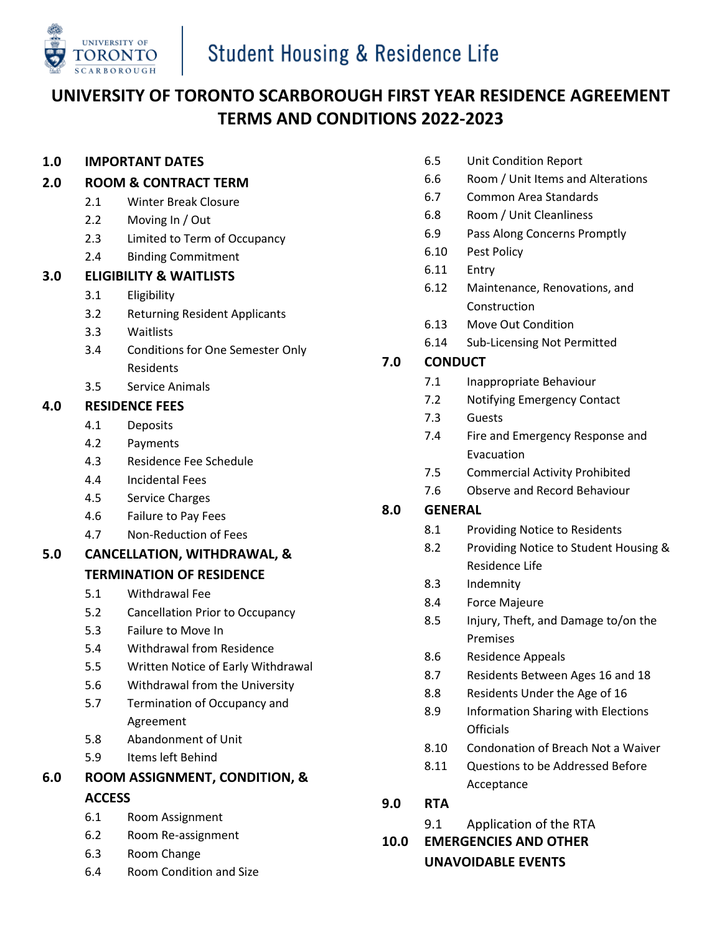

# **UNIVERSITY OF TORONTO SCARBOROUGH FIRST YEAR RESIDENCE AGREEMENT TERMS AND CONDITIONS 2022-2023**

#### **1.0 IMPORTANT DATES**

- **2.0 ROOM & CONTRACT TERM**
	- 2.1 Winter Break Closure
	- 2.2 Moving In / Out
	- 2.3 Limited to Term of Occupancy
	- 2.4 Binding Commitment

#### **3.0 ELIGIBILITY & WAITLISTS**

- 3.1 Eligibility
- 3.2 Returning Resident Applicants
- 3.3 Waitlists
- 3.4 Conditions for One Semester Only Residents
- 3.5 Service Animals

#### **4.0 RESIDENCE FEES**

- 4.1 Deposits
- 4.2 Payments
- 4.3 Residence Fee Schedule
- 4.4 Incidental Fees
- 4.5 Service Charges
- 4.6 Failure to Pay Fees
- 4.7 Non-Reduction of Fees
- **5.0 CANCELLATION, WITHDRAWAL, &**

#### **TERMINATION OF RESIDENCE**

- 5.1 Withdrawal Fee
- 5.2 Cancellation Prior to Occupancy
- 5.3 Failure to Move In
- 5.4 Withdrawal from Residence
- 5.5 Written Notice of Early Withdrawal
- 5.6 Withdrawal from the University
- 5.7 Termination of Occupancy and Agreement
- 5.8 Abandonment of Unit
- 5.9 Items left Behind
- **6.0 ROOM ASSIGNMENT, CONDITION, & ACCESS**
	- 6.1 Room Assignment
	- 6.2 Room Re-assignment
	- 6.3 Room Change
	- 6.4 Room Condition and Size
- 6.5 Unit Condition Report
- 6.6 Room / Unit Items and Alterations
- 6.7 Common Area Standards
- 6.8 Room / Unit Cleanliness
- 6.9 Pass Along Concerns Promptly
- 6.10 Pest Policy
- 6.11 Entry
- 6.12 Maintenance, Renovations, and Construction
- 6.13 Move Out Condition
- 6.14 Sub-Licensing Not Permitted

#### **7.0 CONDUCT**

- 7.1 Inappropriate Behaviour
- 7.2 Notifying Emergency Contact
- 7.3 Guests
- 7.4 Fire and Emergency Response and Evacuation
- 7.5 Commercial Activity Prohibited
- 7.6 Observe and Record Behaviour

#### **8.0 GENERAL**

- 8.1 Providing Notice to Residents
- 8.2 Providing Notice to Student Housing & Residence Life
- 8.3 Indemnity
- 8.4 Force Majeure
- 8.5 Injury, Theft, and Damage to/on the Premises
- 8.6 Residence Appeals
- 8.7 Residents Between Ages 16 and 18
- 8.8 Residents Under the Age of 16
- 8.9 Information Sharing with Elections **Officials**
- 8.10 Condonation of Breach Not a Waiver
- 8.11 Questions to be Addressed Before Acceptance
- **9.0 RTA**
	- 9.1 Application of the RTA

# **10.0 EMERGENCIES AND OTHER**

**UNAVOIDABLE EVENTS**

- 
- 
- -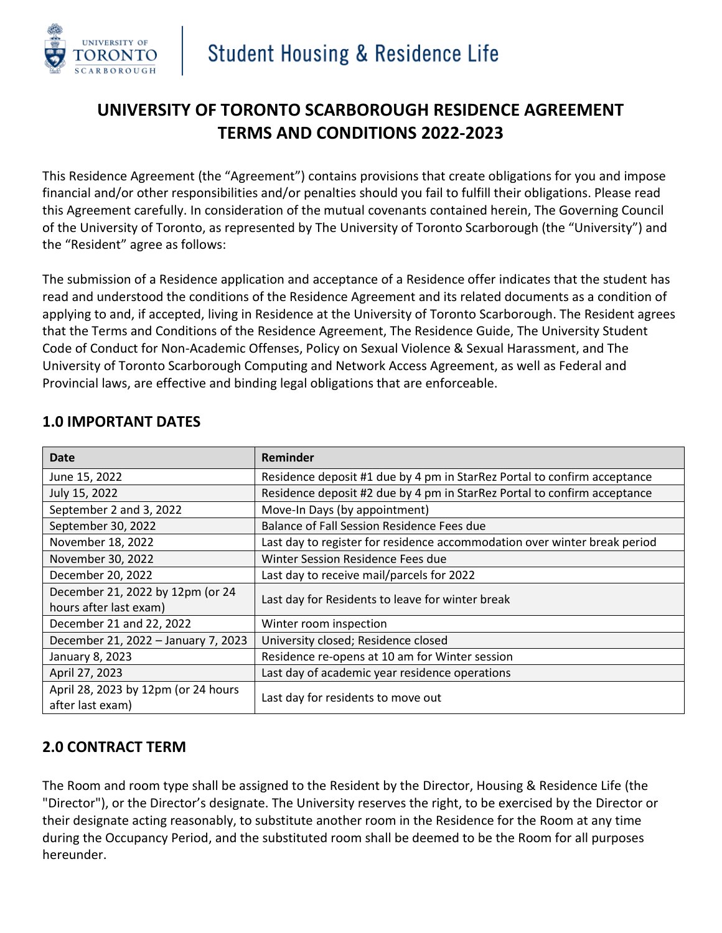

# **UNIVERSITY OF TORONTO SCARBOROUGH RESIDENCE AGREEMENT TERMS AND CONDITIONS 2022-2023**

This Residence Agreement (the "Agreement") contains provisions that create obligations for you and impose financial and/or other responsibilities and/or penalties should you fail to fulfill their obligations. Please read this Agreement carefully. In consideration of the mutual covenants contained herein, The Governing Council of the University of Toronto, as represented by The University of Toronto Scarborough (the "University") and the "Resident" agree as follows:

The submission of a Residence application and acceptance of a Residence offer indicates that the student has read and understood the conditions of the Residence Agreement and its related documents as a condition of applying to and, if accepted, living in Residence at the University of Toronto Scarborough. The Resident agrees that the Terms and Conditions of the Residence Agreement, The Residence Guide, The University Student Code of Conduct for Non-Academic Offenses, Policy on Sexual Violence & Sexual Harassment, and The University of Toronto Scarborough Computing and Network Access Agreement, as well as Federal and Provincial laws, are effective and binding legal obligations that are enforceable.

| Date                                                       | Reminder                                                                  |  |  |
|------------------------------------------------------------|---------------------------------------------------------------------------|--|--|
| June 15, 2022                                              | Residence deposit #1 due by 4 pm in StarRez Portal to confirm acceptance  |  |  |
| July 15, 2022                                              | Residence deposit #2 due by 4 pm in StarRez Portal to confirm acceptance  |  |  |
| September 2 and 3, 2022                                    | Move-In Days (by appointment)                                             |  |  |
| September 30, 2022                                         | Balance of Fall Session Residence Fees due                                |  |  |
| November 18, 2022                                          | Last day to register for residence accommodation over winter break period |  |  |
| November 30, 2022                                          | Winter Session Residence Fees due                                         |  |  |
| December 20, 2022                                          | Last day to receive mail/parcels for 2022                                 |  |  |
| December 21, 2022 by 12pm (or 24<br>hours after last exam) | Last day for Residents to leave for winter break                          |  |  |
| December 21 and 22, 2022                                   | Winter room inspection                                                    |  |  |
| December 21, 2022 - January 7, 2023                        | University closed; Residence closed                                       |  |  |
| January 8, 2023                                            | Residence re-opens at 10 am for Winter session                            |  |  |
| April 27, 2023                                             | Last day of academic year residence operations                            |  |  |
| April 28, 2023 by 12pm (or 24 hours<br>after last exam)    | Last day for residents to move out                                        |  |  |

#### **1.0 IMPORTANT DATES**

### **2.0 CONTRACT TERM**

The Room and room type shall be assigned to the Resident by the Director, Housing & Residence Life (the "Director"), or the Director's designate. The University reserves the right, to be exercised by the Director or their designate acting reasonably, to substitute another room in the Residence for the Room at any time during the Occupancy Period, and the substituted room shall be deemed to be the Room for all purposes hereunder.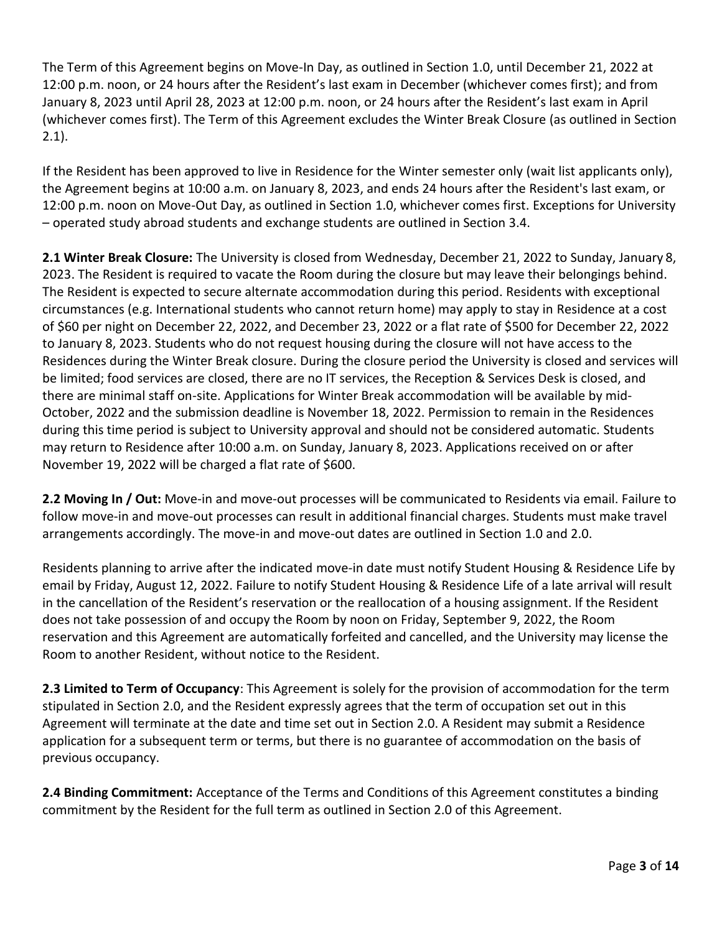The Term of this Agreement begins on Move-In Day, as outlined in Section 1.0, until December 21, 2022 at 12:00 p.m. noon, or 24 hours after the Resident's last exam in December (whichever comes first); and from January 8, 2023 until April 28, 2023 at 12:00 p.m. noon, or 24 hours after the Resident's last exam in April (whichever comes first). The Term of this Agreement excludes the Winter Break Closure (as outlined in Section 2.1).

If the Resident has been approved to live in Residence for the Winter semester only (wait list applicants only), the Agreement begins at 10:00 a.m. on January 8, 2023, and ends 24 hours after the Resident's last exam, or 12:00 p.m. noon on Move-Out Day, as outlined in Section 1.0, whichever comes first. Exceptions for University – operated study abroad students and exchange students are outlined in Section 3.4.

**2.1 Winter Break Closure:** The University is closed from Wednesday, December 21, 2022 to Sunday, January 8, 2023. The Resident is required to vacate the Room during the closure but may leave their belongings behind. The Resident is expected to secure alternate accommodation during this period. Residents with exceptional circumstances (e.g. International students who cannot return home) may apply to stay in Residence at a cost of \$60 per night on December 22, 2022, and December 23, 2022 or a flat rate of \$500 for December 22, 2022 to January 8, 2023. Students who do not request housing during the closure will not have access to the Residences during the Winter Break closure. During the closure period the University is closed and services will be limited; food services are closed, there are no IT services, the Reception & Services Desk is closed, and there are minimal staff on-site. Applications for Winter Break accommodation will be available by mid-October, 2022 and the submission deadline is November 18, 2022. Permission to remain in the Residences during this time period is subject to University approval and should not be considered automatic. Students may return to Residence after 10:00 a.m. on Sunday, January 8, 2023. Applications received on or after November 19, 2022 will be charged a flat rate of \$600.

**2.2 Moving In / Out:** Move-in and move-out processes will be communicated to Residents via email. Failure to follow move-in and move-out processes can result in additional financial charges. Students must make travel arrangements accordingly. The move-in and move-out dates are outlined in Section 1.0 and 2.0.

Residents planning to arrive after the indicated move-in date must notify Student Housing & Residence Life by email by Friday, August 12, 2022. Failure to notify Student Housing & Residence Life of a late arrival will result in the cancellation of the Resident's reservation or the reallocation of a housing assignment. If the Resident does not take possession of and occupy the Room by noon on Friday, September 9, 2022, the Room reservation and this Agreement are automatically forfeited and cancelled, and the University may license the Room to another Resident, without notice to the Resident.

**2.3 Limited to Term of Occupancy**: This Agreement is solely for the provision of accommodation for the term stipulated in Section 2.0, and the Resident expressly agrees that the term of occupation set out in this Agreement will terminate at the date and time set out in Section 2.0. A Resident may submit a Residence application for a subsequent term or terms, but there is no guarantee of accommodation on the basis of previous occupancy.

**2.4 Binding Commitment:** Acceptance of the Terms and Conditions of this Agreement constitutes a binding commitment by the Resident for the full term as outlined in Section 2.0 of this Agreement.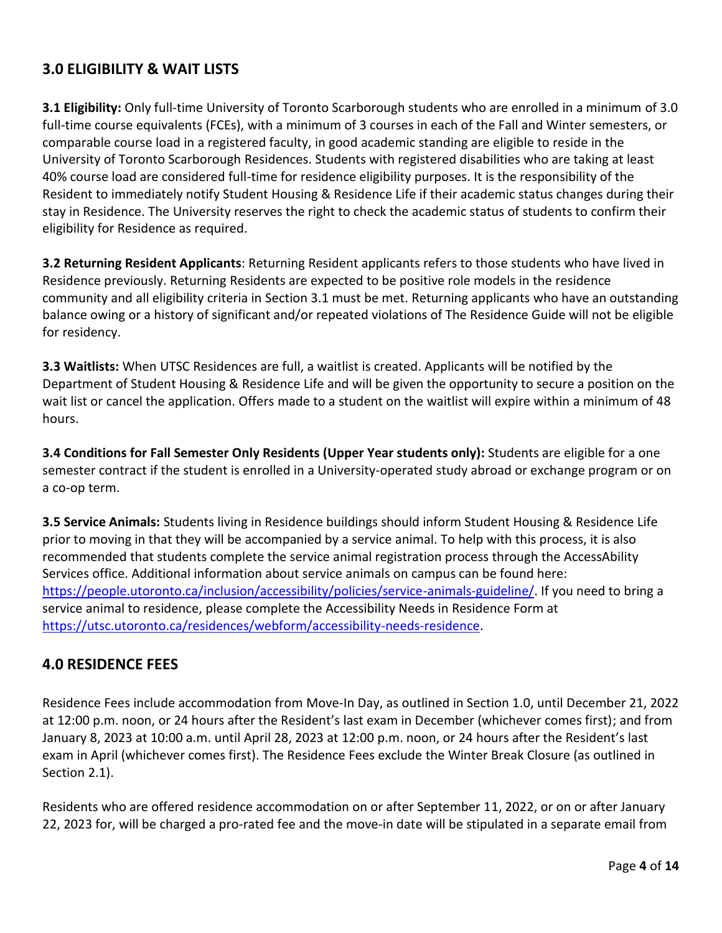### **3.0 ELIGIBILITY & WAIT LISTS**

**3.1 Eligibility:** Only full-time University of Toronto Scarborough students who are enrolled in a minimum of 3.0 full-time course equivalents (FCEs), with a minimum of 3 courses in each of the Fall and Winter semesters, or comparable course load in a registered faculty, in good academic standing are eligible to reside in the University of Toronto Scarborough Residences. Students with registered disabilities who are taking at least 40% course load are considered full-time for residence eligibility purposes. It is the responsibility of the Resident to immediately notify Student Housing & Residence Life if their academic status changes during their stay in Residence. The University reserves the right to check the academic status of students to confirm their eligibility for Residence as required.

**3.2 Returning Resident Applicants**: Returning Resident applicants refers to those students who have lived in Residence previously. Returning Residents are expected to be positive role models in the residence community and all eligibility criteria in Section 3.1 must be met. Returning applicants who have an outstanding balance owing or a history of significant and/or repeated violations of The Residence Guide will not be eligible for residency.

**3.3 Waitlists:** When UTSC Residences are full, a waitlist is created. Applicants will be notified by the Department of Student Housing & Residence Life and will be given the opportunity to secure a position on the wait list or cancel the application. Offers made to a student on the waitlist will expire within a minimum of 48 hours.

**3.4 Conditions for Fall Semester Only Residents (Upper Year students only):** Students are eligible for a one semester contract if the student is enrolled in a University-operated study abroad or exchange program or on a co-op term.

**3.5 Service Animals:** Students living in Residence buildings should inform Student Housing & Residence Life prior to moving in that they will be accompanied by a service animal. To help with this process, it is also recommended that students complete the service animal registration process through the AccessAbility Services office. Additional information about service animals on campus can be found here: [https://people.utoronto.ca/inclusion/accessibility/policies/service-animals-guideline/.](https://people.utoronto.ca/inclusion/accessibility/policies/service-animals-guideline/) If you need to bring a service animal to residence, please complete the Accessibility Needs in Residence Form at [https://utsc.utoronto.ca/residences/webform/accessibility-needs-residence.](https://utsc.utoronto.ca/residences/webform/accessibility-needs-residence)

#### **4.0 RESIDENCE FEES**

Residence Fees include accommodation from Move-In Day, as outlined in Section 1.0, until December 21, 2022 at 12:00 p.m. noon, or 24 hours after the Resident's last exam in December (whichever comes first); and from January 8, 2023 at 10:00 a.m. until April 28, 2023 at 12:00 p.m. noon, or 24 hours after the Resident's last exam in April (whichever comes first). The Residence Fees exclude the Winter Break Closure (as outlined in Section 2.1).

Residents who are offered residence accommodation on or after September 11, 2022, or on or after January 22, 2023 for, will be charged a pro-rated fee and the move-in date will be stipulated in a separate email from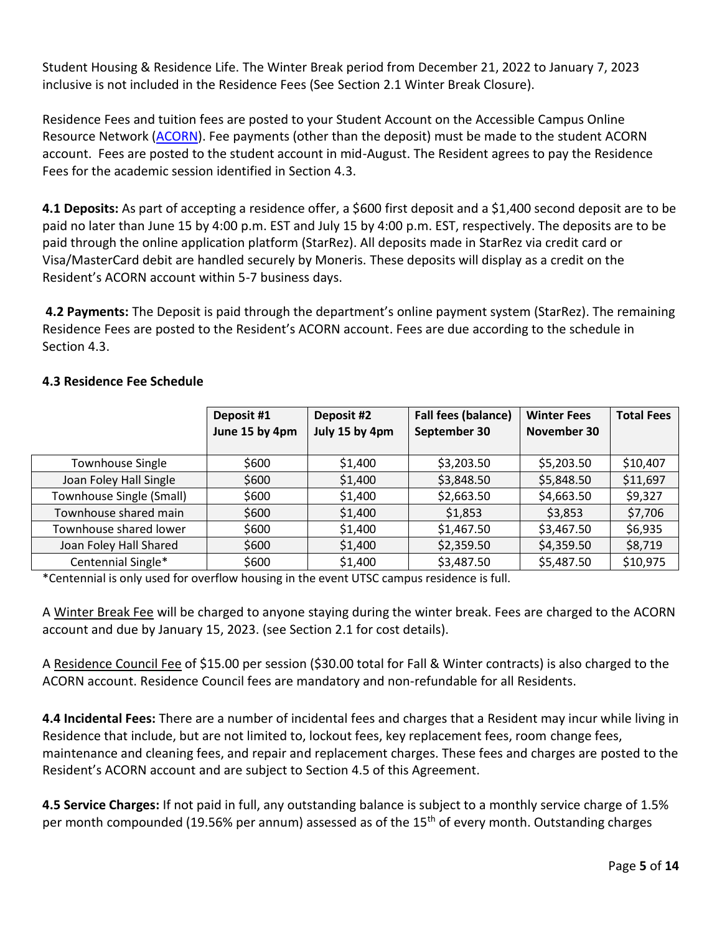Student Housing & Residence Life. The Winter Break period from December 21, 2022 to January 7, 2023 inclusive is not included in the Residence Fees (See Section 2.1 Winter Break Closure).

Residence Fees and tuition fees are posted to your Student Account on the Accessible Campus Online Resource Network [\(ACORN\)](http://www.rosi.utoronto.ca/). Fee payments (other than the deposit) must be made to the student ACORN account. Fees are posted to the student account in mid-August. The Resident agrees to pay the Residence Fees for the academic session identified in Section 4.3.

**4.1 Deposits:** As part of accepting a residence offer, a \$600 first deposit and a \$1,400 second deposit are to be paid no later than June 15 by 4:00 p.m. EST and July 15 by 4:00 p.m. EST, respectively. The deposits are to be paid through the online application platform (StarRez). All deposits made in StarRez via credit card or Visa/MasterCard debit are handled securely by Moneris. These deposits will display as a credit on the Resident's ACORN account within 5-7 business days.

**4.2 Payments:** The Deposit is paid through the department's online payment system (StarRez). The remaining Residence Fees are posted to the Resident's ACORN account. Fees are due according to the schedule in Section 4.3.

|                          | Deposit #1<br>June 15 by 4pm | Deposit #2<br>July 15 by 4pm | <b>Fall fees (balance)</b><br>September 30 | <b>Winter Fees</b><br>November 30 | <b>Total Fees</b> |
|--------------------------|------------------------------|------------------------------|--------------------------------------------|-----------------------------------|-------------------|
| <b>Townhouse Single</b>  | \$600                        | \$1,400                      | \$3,203.50                                 | \$5,203.50                        | \$10,407          |
| Joan Foley Hall Single   | \$600                        | \$1,400                      | \$3,848.50                                 | \$5,848.50                        | \$11,697          |
| Townhouse Single (Small) | \$600                        | \$1,400                      | \$2,663.50                                 | \$4,663.50                        | \$9,327           |
| Townhouse shared main    | \$600                        | \$1,400                      | \$1,853                                    | \$3,853                           | \$7,706           |
| Townhouse shared lower   | \$600                        | \$1,400                      | \$1,467.50                                 | \$3,467.50                        | \$6,935           |
| Joan Foley Hall Shared   | \$600                        | \$1,400                      | \$2,359.50                                 | \$4,359.50                        | \$8,719           |
| Centennial Single*       | \$600                        | \$1,400                      | \$3,487.50                                 | \$5,487.50                        | \$10,975          |

#### **4.3 Residence Fee Schedule**

\*Centennial is only used for overflow housing in the event UTSC campus residence is full.

A Winter Break Fee will be charged to anyone staying during the winter break. Fees are charged to the ACORN account and due by January 15, 2023. (see Section 2.1 for cost details).

A Residence Council Fee of \$15.00 per session (\$30.00 total for Fall & Winter contracts) is also charged to the ACORN account. Residence Council fees are mandatory and non-refundable for all Residents.

**4.4 Incidental Fees:** There are a number of incidental fees and charges that a Resident may incur while living in Residence that include, but are not limited to, lockout fees, key replacement fees, room change fees, maintenance and cleaning fees, and repair and replacement charges. These fees and charges are posted to the Resident's ACORN account and are subject to Section 4.5 of this Agreement.

**4.5 Service Charges:** If not paid in full, any outstanding balance is subject to a monthly service charge of 1.5% per month compounded (19.56% per annum) assessed as of the 15<sup>th</sup> of every month. Outstanding charges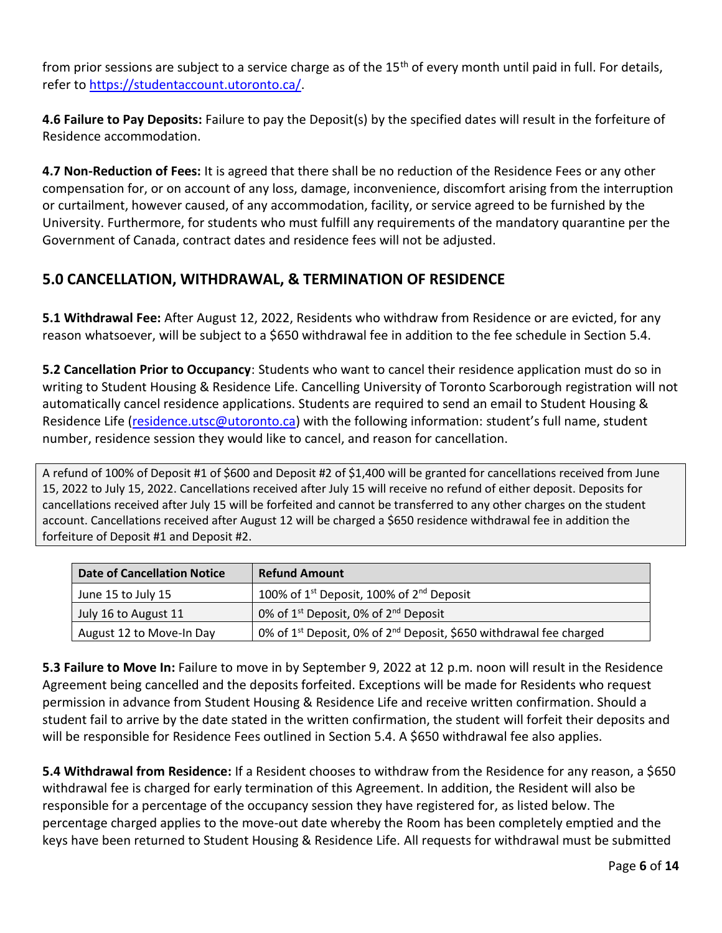from prior sessions are subject to a service charge as of the 15<sup>th</sup> of every month until paid in full. For details, refer t[o https://studentaccount.utoronto.ca/.](https://studentaccount.utoronto.ca/)

**4.6 Failure to Pay Deposits:** Failure to pay the Deposit(s) by the specified dates will result in the forfeiture of Residence accommodation.

**4.7 Non-Reduction of Fees:** It is agreed that there shall be no reduction of the Residence Fees or any other compensation for, or on account of any loss, damage, inconvenience, discomfort arising from the interruption or curtailment, however caused, of any accommodation, facility, or service agreed to be furnished by the University. Furthermore, for students who must fulfill any requirements of the mandatory quarantine per the Government of Canada, contract dates and residence fees will not be adjusted.

### **5.0 CANCELLATION, WITHDRAWAL, & TERMINATION OF RESIDENCE**

**5.1 Withdrawal Fee:** After August 12, 2022, Residents who withdraw from Residence or are evicted, for any reason whatsoever, will be subject to a \$650 withdrawal fee in addition to the fee schedule in Section 5.4.

**5.2 Cancellation Prior to Occupancy**: Students who want to cancel their residence application must do so in writing to Student Housing & Residence Life. Cancelling University of Toronto Scarborough registration will not automatically cancel residence applications. Students are required to send an email to Student Housing & Residence Life [\(residence.utsc@utoronto.ca\)](mailto:residence.utsc@utoronto.ca) with the following information: student's full name, student number, residence session they would like to cancel, and reason for cancellation.

A refund of 100% of Deposit #1 of \$600 and Deposit #2 of \$1,400 will be granted for cancellations received from June 15, 2022 to July 15, 2022. Cancellations received after July 15 will receive no refund of either deposit. Deposits for cancellations received after July 15 will be forfeited and cannot be transferred to any other charges on the student account. Cancellations received after August 12 will be charged a \$650 residence withdrawal fee in addition the forfeiture of Deposit #1 and Deposit #2.

| <b>Date of Cancellation Notice</b> | <b>Refund Amount</b>                                                                       |
|------------------------------------|--------------------------------------------------------------------------------------------|
| June 15 to July 15                 | 100% of $1^{st}$ Deposit, 100% of $2^{nd}$ Deposit                                         |
| July 16 to August 11               | 0% of 1 <sup>st</sup> Deposit, 0% of 2 <sup>nd</sup> Deposit                               |
| August 12 to Move-In Day           | 0% of 1 <sup>st</sup> Deposit, 0% of 2 <sup>nd</sup> Deposit, \$650 withdrawal fee charged |

**5.3 Failure to Move In:** Failure to move in by September 9, 2022 at 12 p.m. noon will result in the Residence Agreement being cancelled and the deposits forfeited. Exceptions will be made for Residents who request permission in advance from Student Housing & Residence Life and receive written confirmation. Should a student fail to arrive by the date stated in the written confirmation, the student will forfeit their deposits and will be responsible for Residence Fees outlined in Section 5.4. A \$650 withdrawal fee also applies.

**5.4 Withdrawal from Residence:** If a Resident chooses to withdraw from the Residence for any reason, a \$650 withdrawal fee is charged for early termination of this Agreement. In addition, the Resident will also be responsible for a percentage of the occupancy session they have registered for, as listed below. The percentage charged applies to the move-out date whereby the Room has been completely emptied and the keys have been returned to Student Housing & Residence Life. All requests for withdrawal must be submitted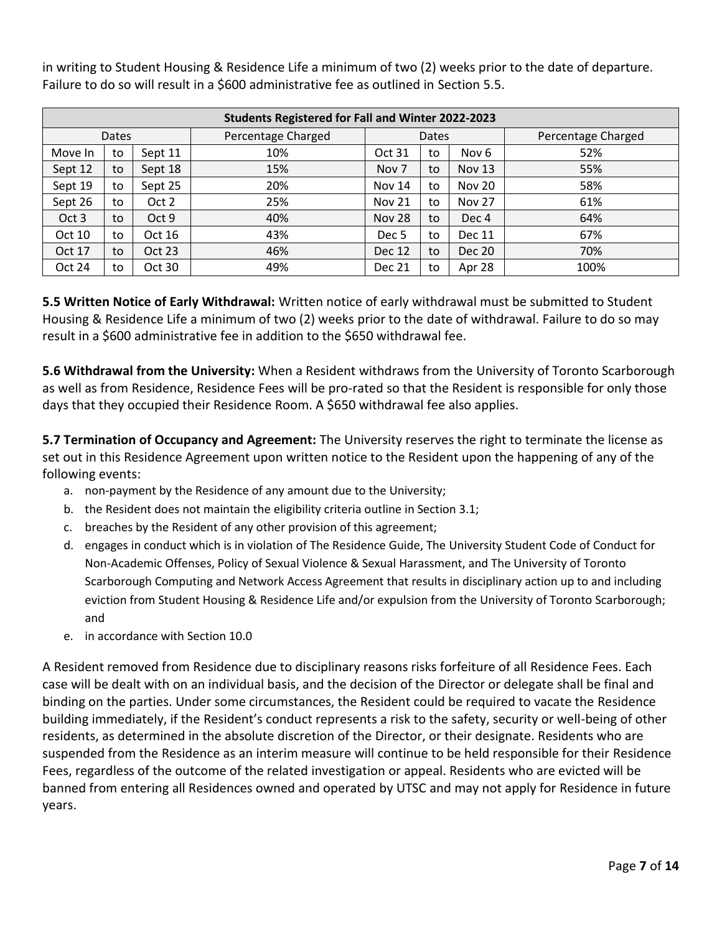| <b>Students Registered for Fall and Winter 2022-2023</b> |    |         |                    |                  |    |                  |                    |  |
|----------------------------------------------------------|----|---------|--------------------|------------------|----|------------------|--------------------|--|
| Dates                                                    |    |         | Percentage Charged | Dates            |    |                  | Percentage Charged |  |
| Move In                                                  | to | Sept 11 | 10%                | Oct 31           | to | Nov 6            | 52%                |  |
| Sept 12                                                  | to | Sept 18 | 15%                | Nov <sub>7</sub> | to | <b>Nov 13</b>    | 55%                |  |
| Sept 19                                                  | to | Sept 25 | 20%                | <b>Nov 14</b>    | to | <b>Nov 20</b>    | 58%                |  |
| Sept 26                                                  | to | Oct 2   | 25%                | <b>Nov 21</b>    | to | <b>Nov 27</b>    | 61%                |  |
| Oct 3                                                    | to | Oct 9   | 40%                | <b>Nov 28</b>    | to | Dec <sub>4</sub> | 64%                |  |
| Oct 10                                                   | to | Oct 16  | 43%                | Dec <sub>5</sub> | to | Dec 11           | 67%                |  |
| Oct 17                                                   | to | Oct 23  | 46%                | <b>Dec 12</b>    | to | Dec 20           | 70%                |  |
| Oct 24                                                   | to | Oct 30  | 49%                | <b>Dec 21</b>    | to | Apr 28           | 100%               |  |

in writing to Student Housing & Residence Life a minimum of two (2) weeks prior to the date of departure. Failure to do so will result in a \$600 administrative fee as outlined in Section 5.5.

**5.5 Written Notice of Early Withdrawal:** Written notice of early withdrawal must be submitted to Student Housing & Residence Life a minimum of two (2) weeks prior to the date of withdrawal. Failure to do so may result in a \$600 administrative fee in addition to the \$650 withdrawal fee.

**5.6 Withdrawal from the University:** When a Resident withdraws from the University of Toronto Scarborough as well as from Residence, Residence Fees will be pro-rated so that the Resident is responsible for only those days that they occupied their Residence Room. A \$650 withdrawal fee also applies.

**5.7 Termination of Occupancy and Agreement:** The University reserves the right to terminate the license as set out in this Residence Agreement upon written notice to the Resident upon the happening of any of the following events:

- a. non-payment by the Residence of any amount due to the University;
- b. the Resident does not maintain the eligibility criteria outline in Section 3.1;
- c. breaches by the Resident of any other provision of this agreement;
- d. engages in conduct which is in violation of The Residence Guide, The University Student Code of Conduct for Non-Academic Offenses, Policy of Sexual Violence & Sexual Harassment, and The University of Toronto Scarborough Computing and Network Access Agreement that results in disciplinary action up to and including eviction from Student Housing & Residence Life and/or expulsion from the University of Toronto Scarborough; and
- e. in accordance with Section 10.0

A Resident removed from Residence due to disciplinary reasons risks forfeiture of all Residence Fees. Each case will be dealt with on an individual basis, and the decision of the Director or delegate shall be final and binding on the parties. Under some circumstances, the Resident could be required to vacate the Residence building immediately, if the Resident's conduct represents a risk to the safety, security or well-being of other residents, as determined in the absolute discretion of the Director, or their designate. Residents who are suspended from the Residence as an interim measure will continue to be held responsible for their Residence Fees, regardless of the outcome of the related investigation or appeal. Residents who are evicted will be banned from entering all Residences owned and operated by UTSC and may not apply for Residence in future years.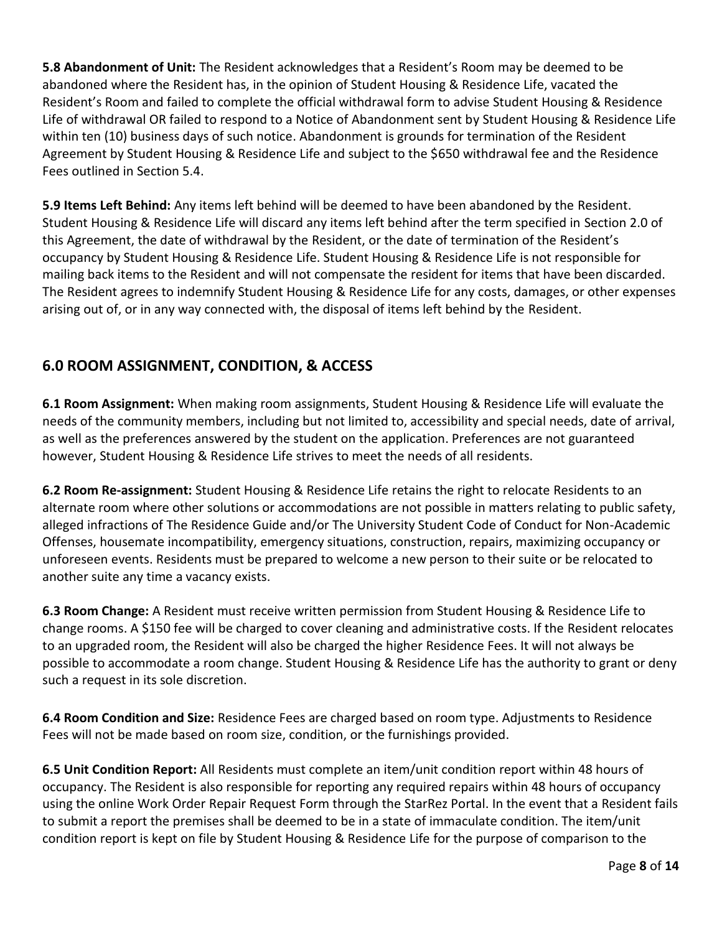**5.8 Abandonment of Unit:** The Resident acknowledges that a Resident's Room may be deemed to be abandoned where the Resident has, in the opinion of Student Housing & Residence Life, vacated the Resident's Room and failed to complete the official withdrawal form to advise Student Housing & Residence Life of withdrawal OR failed to respond to a Notice of Abandonment sent by Student Housing & Residence Life within ten (10) business days of such notice. Abandonment is grounds for termination of the Resident Agreement by Student Housing & Residence Life and subject to the \$650 withdrawal fee and the Residence Fees outlined in Section 5.4.

**5.9 Items Left Behind:** Any items left behind will be deemed to have been abandoned by the Resident. Student Housing & Residence Life will discard any items left behind after the term specified in Section 2.0 of this Agreement, the date of withdrawal by the Resident, or the date of termination of the Resident's occupancy by Student Housing & Residence Life. Student Housing & Residence Life is not responsible for mailing back items to the Resident and will not compensate the resident for items that have been discarded. The Resident agrees to indemnify Student Housing & Residence Life for any costs, damages, or other expenses arising out of, or in any way connected with, the disposal of items left behind by the Resident.

### **6.0 ROOM ASSIGNMENT, CONDITION, & ACCESS**

**6.1 Room Assignment:** When making room assignments, Student Housing & Residence Life will evaluate the needs of the community members, including but not limited to, accessibility and special needs, date of arrival, as well as the preferences answered by the student on the application. Preferences are not guaranteed however, Student Housing & Residence Life strives to meet the needs of all residents.

**6.2 Room Re-assignment:** Student Housing & Residence Life retains the right to relocate Residents to an alternate room where other solutions or accommodations are not possible in matters relating to public safety, alleged infractions of The Residence Guide and/or The University Student Code of Conduct for Non-Academic Offenses, housemate incompatibility, emergency situations, construction, repairs, maximizing occupancy or unforeseen events. Residents must be prepared to welcome a new person to their suite or be relocated to another suite any time a vacancy exists.

**6.3 Room Change:** A Resident must receive written permission from Student Housing & Residence Life to change rooms. A \$150 fee will be charged to cover cleaning and administrative costs. If the Resident relocates to an upgraded room, the Resident will also be charged the higher Residence Fees. It will not always be possible to accommodate a room change. Student Housing & Residence Life has the authority to grant or deny such a request in its sole discretion.

**6.4 Room Condition and Size:** Residence Fees are charged based on room type. Adjustments to Residence Fees will not be made based on room size, condition, or the furnishings provided.

**6.5 Unit Condition Report:** All Residents must complete an item/unit condition report within 48 hours of occupancy. The Resident is also responsible for reporting any required repairs within 48 hours of occupancy using the online Work Order Repair Request Form through the StarRez Portal. In the event that a Resident fails to submit a report the premises shall be deemed to be in a state of immaculate condition. The item/unit condition report is kept on file by Student Housing & Residence Life for the purpose of comparison to the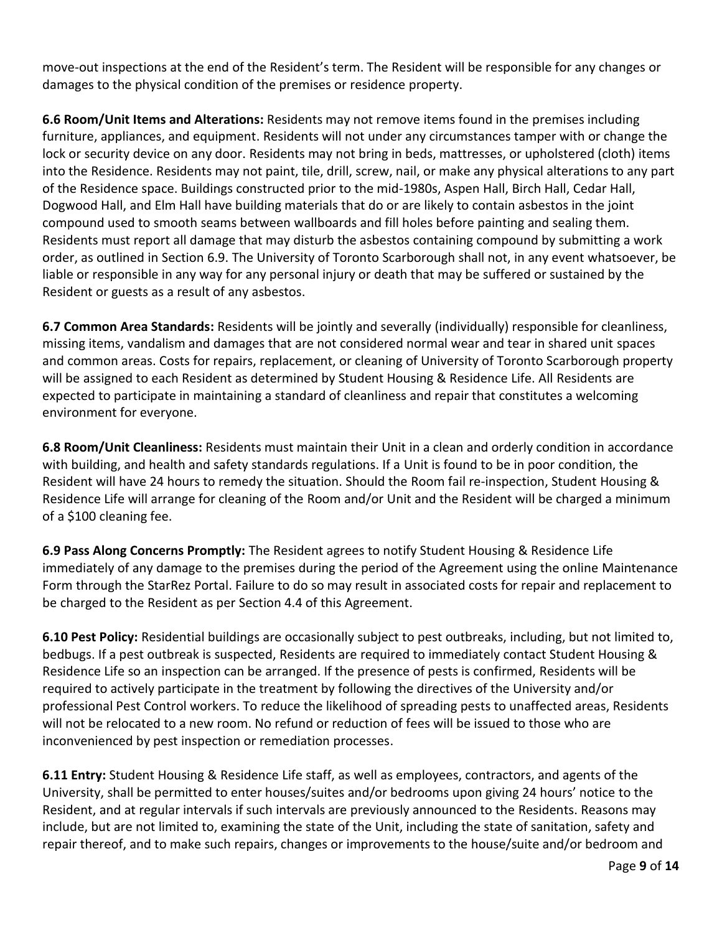move-out inspections at the end of the Resident's term. The Resident will be responsible for any changes or damages to the physical condition of the premises or residence property.

**6.6 Room/Unit Items and Alterations:** Residents may not remove items found in the premises including furniture, appliances, and equipment. Residents will not under any circumstances tamper with or change the lock or security device on any door. Residents may not bring in beds, mattresses, or upholstered (cloth) items into the Residence. Residents may not paint, tile, drill, screw, nail, or make any physical alterations to any part of the Residence space. Buildings constructed prior to the mid-1980s, Aspen Hall, Birch Hall, Cedar Hall, Dogwood Hall, and Elm Hall have building materials that do or are likely to contain asbestos in the joint compound used to smooth seams between wallboards and fill holes before painting and sealing them. Residents must report all damage that may disturb the asbestos containing compound by submitting a work order, as outlined in Section 6.9. The University of Toronto Scarborough shall not, in any event whatsoever, be liable or responsible in any way for any personal injury or death that may be suffered or sustained by the Resident or guests as a result of any asbestos.

**6.7 Common Area Standards:** Residents will be jointly and severally (individually) responsible for cleanliness, missing items, vandalism and damages that are not considered normal wear and tear in shared unit spaces and common areas. Costs for repairs, replacement, or cleaning of University of Toronto Scarborough property will be assigned to each Resident as determined by Student Housing & Residence Life. All Residents are expected to participate in maintaining a standard of cleanliness and repair that constitutes a welcoming environment for everyone.

**6.8 Room/Unit Cleanliness:** Residents must maintain their Unit in a clean and orderly condition in accordance with building, and health and safety standards regulations. If a Unit is found to be in poor condition, the Resident will have 24 hours to remedy the situation. Should the Room fail re-inspection, Student Housing & Residence Life will arrange for cleaning of the Room and/or Unit and the Resident will be charged a minimum of a \$100 cleaning fee.

**6.9 Pass Along Concerns Promptly:** The Resident agrees to notify Student Housing & Residence Life immediately of any damage to the premises during the period of the Agreement using the online Maintenance Form through the StarRez Portal. Failure to do so may result in associated costs for repair and replacement to be charged to the Resident as per Section 4.4 of this Agreement.

**6.10 Pest Policy:** Residential buildings are occasionally subject to pest outbreaks, including, but not limited to, bedbugs. If a pest outbreak is suspected, Residents are required to immediately contact Student Housing & Residence Life so an inspection can be arranged. If the presence of pests is confirmed, Residents will be required to actively participate in the treatment by following the directives of the University and/or professional Pest Control workers. To reduce the likelihood of spreading pests to unaffected areas, Residents will not be relocated to a new room. No refund or reduction of fees will be issued to those who are inconvenienced by pest inspection or remediation processes.

**6.11 Entry:** Student Housing & Residence Life staff, as well as employees, contractors, and agents of the University, shall be permitted to enter houses/suites and/or bedrooms upon giving 24 hours' notice to the Resident, and at regular intervals if such intervals are previously announced to the Residents. Reasons may include, but are not limited to, examining the state of the Unit, including the state of sanitation, safety and repair thereof, and to make such repairs, changes or improvements to the house/suite and/or bedroom and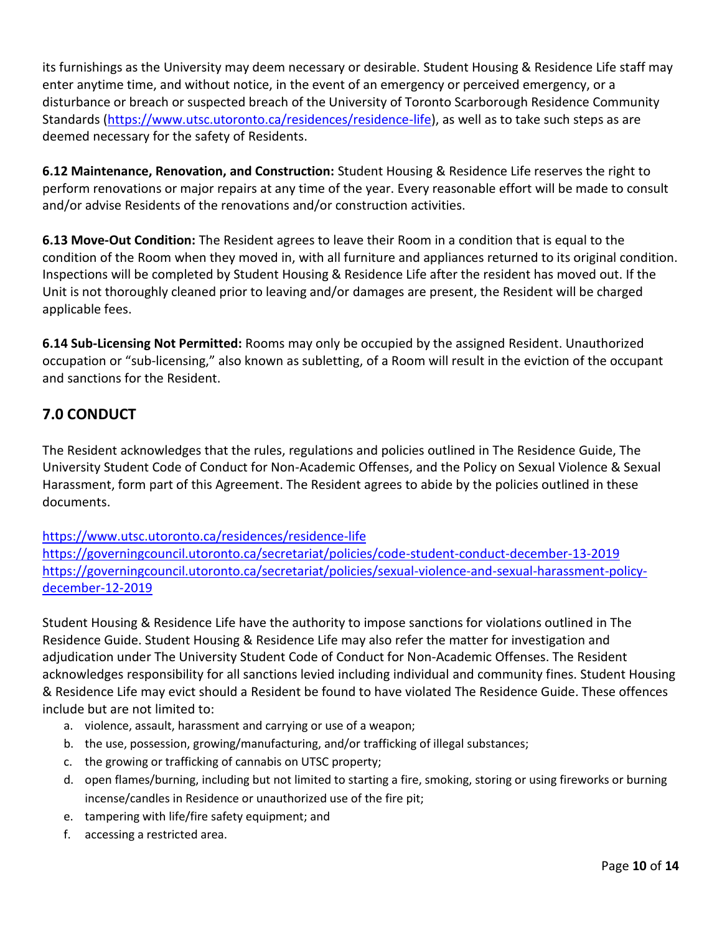its furnishings as the University may deem necessary or desirable. Student Housing & Residence Life staff may enter anytime time, and without notice, in the event of an emergency or perceived emergency, or a disturbance or breach or suspected breach of the University of Toronto Scarborough Residence Community Standards [\(https://www.utsc.utoronto.ca/residences/residence-life\)](https://www.utsc.utoronto.ca/residences/residence-life), as well as to take such steps as are deemed necessary for the safety of Residents.

**6.12 Maintenance, Renovation, and Construction:** Student Housing & Residence Life reserves the right to perform renovations or major repairs at any time of the year. Every reasonable effort will be made to consult and/or advise Residents of the renovations and/or construction activities.

**6.13 Move-Out Condition:** The Resident agrees to leave their Room in a condition that is equal to the condition of the Room when they moved in, with all furniture and appliances returned to its original condition. Inspections will be completed by Student Housing & Residence Life after the resident has moved out. If the Unit is not thoroughly cleaned prior to leaving and/or damages are present, the Resident will be charged applicable fees.

**6.14 Sub-Licensing Not Permitted:** Rooms may only be occupied by the assigned Resident. Unauthorized occupation or "sub-licensing," also known as subletting, of a Room will result in the eviction of the occupant and sanctions for the Resident.

### **7.0 CONDUCT**

The Resident acknowledges that the rules, regulations and policies outlined in The Residence Guide, The University Student Code of Conduct for Non-Academic Offenses, and the Policy on Sexual Violence & Sexual Harassment, form part of this Agreement. The Resident agrees to abide by the policies outlined in these documents.

[https://www.utsc.utoronto.ca/residences/residence-life](https://www.utsc.utoronto.ca/residences/community-standards) <https://governingcouncil.utoronto.ca/secretariat/policies/code-student-conduct-december-13-2019> [https://governingcouncil.utoronto.ca/secretariat/policies/sexual-violence-and-sexual-harassment-policy-](https://governingcouncil.utoronto.ca/secretariat/policies/sexual-violence-and-sexual-harassment-policy-december-12-2019)

[december-12-2019](https://governingcouncil.utoronto.ca/secretariat/policies/sexual-violence-and-sexual-harassment-policy-december-12-2019)

Student Housing & Residence Life have the authority to impose sanctions for violations outlined in The Residence Guide. Student Housing & Residence Life may also refer the matter for investigation and adjudication under The University Student Code of Conduct for Non-Academic Offenses. The Resident acknowledges responsibility for all sanctions levied including individual and community fines. Student Housing & Residence Life may evict should a Resident be found to have violated The Residence Guide. These offences include but are not limited to:

- a. violence, assault, harassment and carrying or use of a weapon;
- b. the use, possession, growing/manufacturing, and/or trafficking of illegal substances;
- c. the growing or trafficking of cannabis on UTSC property;
- d. open flames/burning, including but not limited to starting a fire, smoking, storing or using fireworks or burning incense/candles in Residence or unauthorized use of the fire pit;
- e. tampering with life/fire safety equipment; and
- f. accessing a restricted area.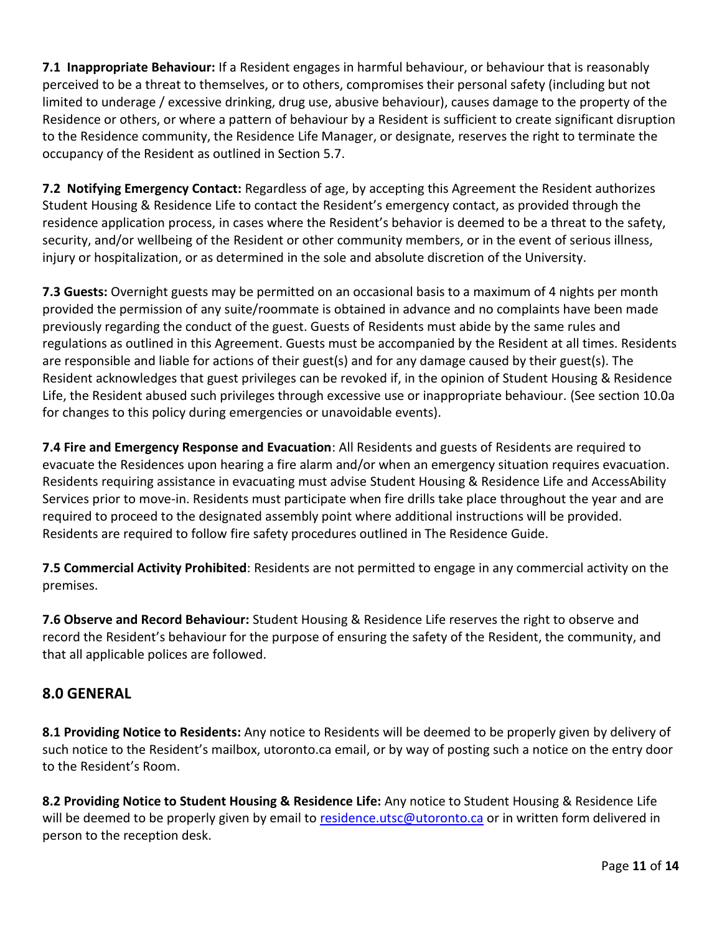**7.1 Inappropriate Behaviour:** If a Resident engages in harmful behaviour, or behaviour that is reasonably perceived to be a threat to themselves, or to others, compromises their personal safety (including but not limited to underage / excessive drinking, drug use, abusive behaviour), causes damage to the property of the Residence or others, or where a pattern of behaviour by a Resident is sufficient to create significant disruption to the Residence community, the Residence Life Manager, or designate, reserves the right to terminate the occupancy of the Resident as outlined in Section 5.7.

**7.2 Notifying Emergency Contact:** Regardless of age, by accepting this Agreement the Resident authorizes Student Housing & Residence Life to contact the Resident's emergency contact, as provided through the residence application process, in cases where the Resident's behavior is deemed to be a threat to the safety, security, and/or wellbeing of the Resident or other community members, or in the event of serious illness, injury or hospitalization, or as determined in the sole and absolute discretion of the University.

**7.3 Guests:** Overnight guests may be permitted on an occasional basis to a maximum of 4 nights per month provided the permission of any suite/roommate is obtained in advance and no complaints have been made previously regarding the conduct of the guest. Guests of Residents must abide by the same rules and regulations as outlined in this Agreement. Guests must be accompanied by the Resident at all times. Residents are responsible and liable for actions of their guest(s) and for any damage caused by their guest(s). The Resident acknowledges that guest privileges can be revoked if, in the opinion of Student Housing & Residence Life, the Resident abused such privileges through excessive use or inappropriate behaviour. (See section 10.0a for changes to this policy during emergencies or unavoidable events).

**7.4 Fire and Emergency Response and Evacuation**: All Residents and guests of Residents are required to evacuate the Residences upon hearing a fire alarm and/or when an emergency situation requires evacuation. Residents requiring assistance in evacuating must advise Student Housing & Residence Life and AccessAbility Services prior to move-in. Residents must participate when fire drills take place throughout the year and are required to proceed to the designated assembly point where additional instructions will be provided. Residents are required to follow fire safety procedures outlined in The Residence Guide.

**7.5 Commercial Activity Prohibited**: Residents are not permitted to engage in any commercial activity on the premises.

**7.6 Observe and Record Behaviour:** Student Housing & Residence Life reserves the right to observe and record the Resident's behaviour for the purpose of ensuring the safety of the Resident, the community, and that all applicable polices are followed.

### **8.0 GENERAL**

**8.1 Providing Notice to Residents:** Any notice to Residents will be deemed to be properly given by delivery of such notice to the Resident's mailbox, utoronto.ca email, or by way of posting such a notice on the entry door to the Resident's Room.

**8.2 Providing Notice to Student Housing & Residence Life:** Any notice to Student Housing & Residence Life will be deemed to be properly given by email to [residence.utsc@utoronto.ca](mailto:residence.utsc@utoronto.ca) or in written form delivered in person to the reception desk.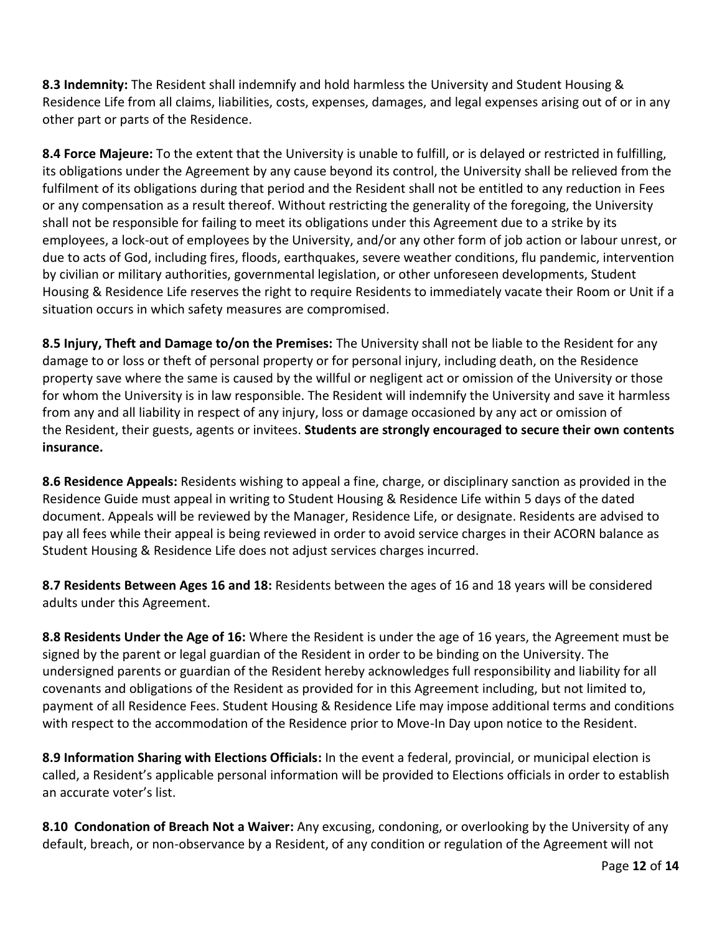**8.3 Indemnity:** The Resident shall indemnify and hold harmless the University and Student Housing & Residence Life from all claims, liabilities, costs, expenses, damages, and legal expenses arising out of or in any other part or parts of the Residence.

**8.4 Force Majeure:** To the extent that the University is unable to fulfill, or is delayed or restricted in fulfilling, its obligations under the Agreement by any cause beyond its control, the University shall be relieved from the fulfilment of its obligations during that period and the Resident shall not be entitled to any reduction in Fees or any compensation as a result thereof. Without restricting the generality of the foregoing, the University shall not be responsible for failing to meet its obligations under this Agreement due to a strike by its employees, a lock-out of employees by the University, and/or any other form of job action or labour unrest, or due to acts of God, including fires, floods, earthquakes, severe weather conditions, flu pandemic, intervention by civilian or military authorities, governmental legislation, or other unforeseen developments, Student Housing & Residence Life reserves the right to require Residents to immediately vacate their Room or Unit if a situation occurs in which safety measures are compromised.

**8.5 Injury, Theft and Damage to/on the Premises:** The University shall not be liable to the Resident for any damage to or loss or theft of personal property or for personal injury, including death, on the Residence property save where the same is caused by the willful or negligent act or omission of the University or those for whom the University is in law responsible. The Resident will indemnify the University and save it harmless from any and all liability in respect of any injury, loss or damage occasioned by any act or omission of the Resident, their guests, agents or invitees. **Students are strongly encouraged to secure their own contents insurance.**

**8.6 Residence Appeals:** Residents wishing to appeal a fine, charge, or disciplinary sanction as provided in the Residence Guide must appeal in writing to Student Housing & Residence Life within 5 days of the dated document. Appeals will be reviewed by the Manager, Residence Life, or designate. Residents are advised to pay all fees while their appeal is being reviewed in order to avoid service charges in their ACORN balance as Student Housing & Residence Life does not adjust services charges incurred.

**8.7 Residents Between Ages 16 and 18:** Residents between the ages of 16 and 18 years will be considered adults under this Agreement.

**8.8 Residents Under the Age of 16:** Where the Resident is under the age of 16 years, the Agreement must be signed by the parent or legal guardian of the Resident in order to be binding on the University. The undersigned parents or guardian of the Resident hereby acknowledges full responsibility and liability for all covenants and obligations of the Resident as provided for in this Agreement including, but not limited to, payment of all Residence Fees. Student Housing & Residence Life may impose additional terms and conditions with respect to the accommodation of the Residence prior to Move-In Day upon notice to the Resident.

**8.9 Information Sharing with Elections Officials:** In the event a federal, provincial, or municipal election is called, a Resident's applicable personal information will be provided to Elections officials in order to establish an accurate voter's list.

**8.10 Condonation of Breach Not a Waiver:** Any excusing, condoning, or overlooking by the University of any default, breach, or non-observance by a Resident, of any condition or regulation of the Agreement will not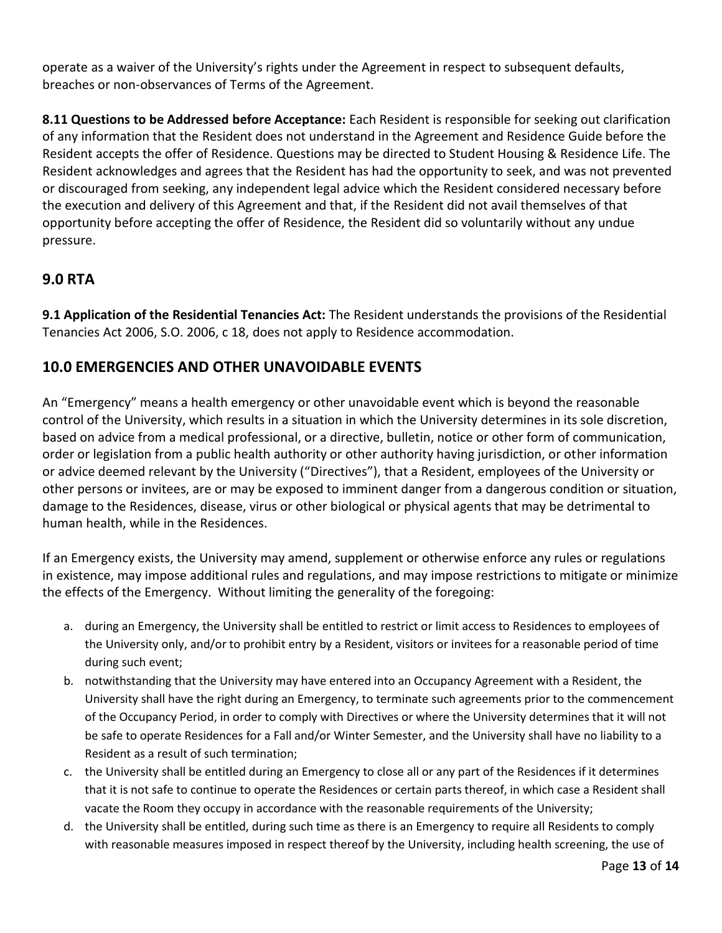operate as a waiver of the University's rights under the Agreement in respect to subsequent defaults, breaches or non-observances of Terms of the Agreement.

**8.11 Questions to be Addressed before Acceptance:** Each Resident is responsible for seeking out clarification of any information that the Resident does not understand in the Agreement and Residence Guide before the Resident accepts the offer of Residence. Questions may be directed to Student Housing & Residence Life. The Resident acknowledges and agrees that the Resident has had the opportunity to seek, and was not prevented or discouraged from seeking, any independent legal advice which the Resident considered necessary before the execution and delivery of this Agreement and that, if the Resident did not avail themselves of that opportunity before accepting the offer of Residence, the Resident did so voluntarily without any undue pressure.

### **9.0 RTA**

**9.1 Application of the Residential Tenancies Act:** The Resident understands the provisions of the Residential Tenancies Act 2006, S.O. 2006, c 18, does not apply to Residence accommodation.

### **10.0 EMERGENCIES AND OTHER UNAVOIDABLE EVENTS**

An "Emergency" means a health emergency or other unavoidable event which is beyond the reasonable control of the University, which results in a situation in which the University determines in its sole discretion, based on advice from a medical professional, or a directive, bulletin, notice or other form of communication, order or legislation from a public health authority or other authority having jurisdiction, or other information or advice deemed relevant by the University ("Directives"), that a Resident, employees of the University or other persons or invitees, are or may be exposed to imminent danger from a dangerous condition or situation, damage to the Residences, disease, virus or other biological or physical agents that may be detrimental to human health, while in the Residences.

If an Emergency exists, the University may amend, supplement or otherwise enforce any rules or regulations in existence, may impose additional rules and regulations, and may impose restrictions to mitigate or minimize the effects of the Emergency. Without limiting the generality of the foregoing:

- a. during an Emergency, the University shall be entitled to restrict or limit access to Residences to employees of the University only, and/or to prohibit entry by a Resident, visitors or invitees for a reasonable period of time during such event;
- b. notwithstanding that the University may have entered into an Occupancy Agreement with a Resident, the University shall have the right during an Emergency, to terminate such agreements prior to the commencement of the Occupancy Period, in order to comply with Directives or where the University determines that it will not be safe to operate Residences for a Fall and/or Winter Semester, and the University shall have no liability to a Resident as a result of such termination;
- c. the University shall be entitled during an Emergency to close all or any part of the Residences if it determines that it is not safe to continue to operate the Residences or certain parts thereof, in which case a Resident shall vacate the Room they occupy in accordance with the reasonable requirements of the University;
- d. the University shall be entitled, during such time as there is an Emergency to require all Residents to comply with reasonable measures imposed in respect thereof by the University, including health screening, the use of